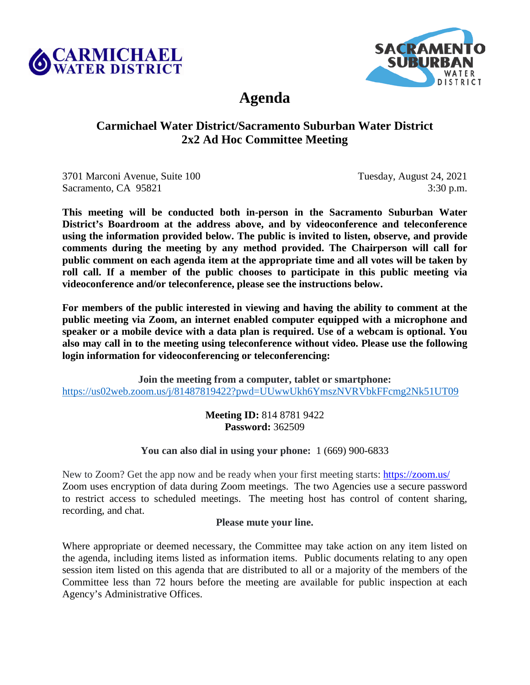<span id="page-0-0"></span>



# **Agenda**

# **Carmichael Water District/Sacramento Suburban Water District 2x2 Ad Hoc Committee Meeting**

3701 Marconi Avenue, Suite 100 Tuesday, August 24, 2021 Sacramento, CA 95821 3:30 p.m.

**This meeting will be conducted both in-person in the Sacramento Suburban Water District's Boardroom at the address above, and by videoconference and teleconference using the information provided below. The public is invited to listen, observe, and provide comments during the meeting by any method provided. The Chairperson will call for public comment on each agenda item at the appropriate time and all votes will be taken by roll call. If a member of the public chooses to participate in this public meeting via videoconference and/or teleconference, please see the instructions below.** 

**For members of the public interested in viewing and having the ability to comment at the public meeting via Zoom, an internet enabled computer equipped with a microphone and speaker or a mobile device with a data plan is required. Use of a webcam is optional. You also may call in to the meeting using teleconference without video. Please use the following login information for videoconferencing or teleconferencing:**

**Join the meeting from a computer, tablet or smartphone:** <https://us02web.zoom.us/j/81487819422?pwd=UUwwUkh6YmszNVRVbkFFcmg2Nk51UT09>

> **Meeting ID:** 814 8781 9422 **Password:** 362509

**You can also dial in using your phone:** 1 (669) 900-6833

New to Zoom? Get the app now and be ready when your first meeting starts:<https://zoom.us/> Zoom uses encryption of data during Zoom meetings. The two Agencies use a secure password to restrict access to scheduled meetings. The meeting host has control of content sharing, recording, and chat.

# **Please mute your line.**

Where appropriate or deemed necessary, the Committee may take action on any item listed on the agenda, including items listed as information items. Public documents relating to any open session item listed on this agenda that are distributed to all or a majority of the members of the Committee less than 72 hours before the meeting are available for public inspection at each Agency's Administrative Offices.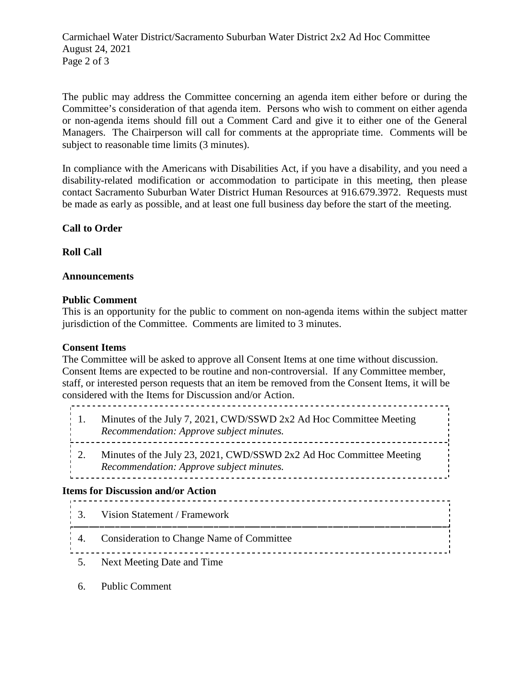Carmichael Water District/Sacramento Suburban Water District 2x2 Ad Hoc Committee August 24, 2021 Page 2 of 3

The public may address the Committee concerning an agenda item either before or during the Committee's consideration of that agenda item. Persons who wish to comment on either agenda or non-agenda items should fill out a Comment Card and give it to either one of the General Managers. The Chairperson will call for comments at the appropriate time. Comments will be subject to reasonable time limits (3 minutes).

In compliance with the Americans with Disabilities Act, if you have a disability, and you need a disability-related modification or accommodation to participate in this meeting, then please contact Sacramento Suburban Water District Human Resources at 916.679.3972. Requests must be made as early as possible, and at least one full business day before the start of the meeting.

## **Call to Order**

**Roll Call**

#### **Announcements**

#### **Public Comment**

This is an opportunity for the public to comment on non-agenda items within the subject matter jurisdiction of the Committee. Comments are limited to 3 minutes.

#### **Consent Items**

The Committee will be asked to approve all Consent Items at one time without discussion. Consent Items are expected to be routine and non-controversial. If any Committee member, staff, or interested person requests that an item be removed from the Consent Items, it will be considered with the Items for Discussion and/or Action.

- 1. [Minutes of the July 7, 2021, CWD/SSWD 2x2 Ad Hoc Committee](#page-3-0) Meeting *Recommendation: Approve subject minutes.*
- 2. [Minutes of the July 23, 2021, CWD/SSWD 2x2 Ad Hoc Committee Meeting](#page-9-0) *Recommendation: Approve subject minutes.*

#### **Items for Discussion and/or Action**

- 3. [Vision Statement / Framework](#page-12-0)
- 4. [Consideration to Change Name of Committee](#page-13-0)
- 5. Next Meeting Date and Time
- 6. Public Comment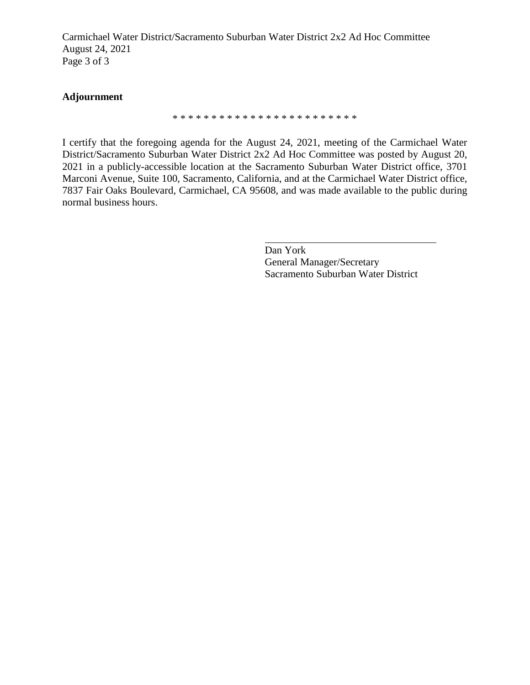Carmichael Water District/Sacramento Suburban Water District 2x2 Ad Hoc Committee August 24, 2021 Page 3 of 3

#### **Adjournment**

\* \* \* \* \* \* \* \* \* \* \* \* \* \* \* \* \* \* \* \* \* \* \* \*

I certify that the foregoing agenda for the August 24, 2021, meeting of the Carmichael Water District/Sacramento Suburban Water District 2x2 Ad Hoc Committee was posted by August 20, 2021 in a publicly-accessible location at the Sacramento Suburban Water District office, 3701 Marconi Avenue, Suite 100, Sacramento, California, and at the Carmichael Water District office, 7837 Fair Oaks Boulevard, Carmichael, CA 95608, and was made available to the public during normal business hours.

> Dan York General Manager/Secretary Sacramento Suburban Water District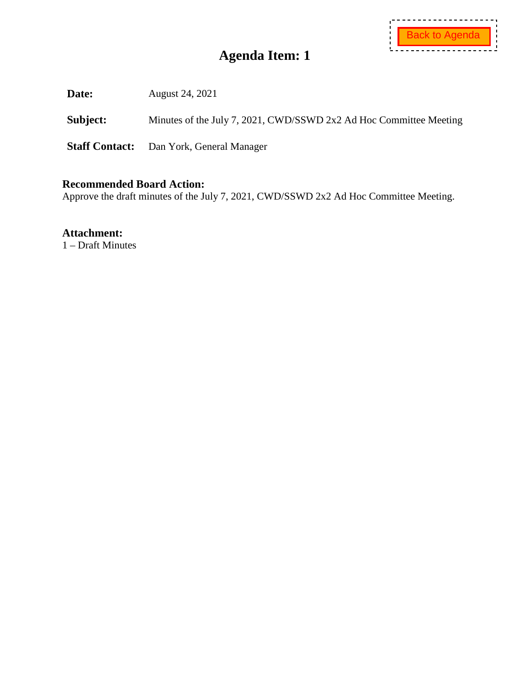<span id="page-3-0"></span>**Date:** August 24, 2021

Subject: Minutes of the July 7, 2021, CWD/SSWD 2x2 Ad Hoc Committee Meeting

**Staff Contact:** Dan York, General Manager

## **Recommended Board Action:**

Approve the draft minutes of the July 7, 2021, CWD/SSWD 2x2 Ad Hoc Committee Meeting.

**Attachment:** 

1 – Draft Minutes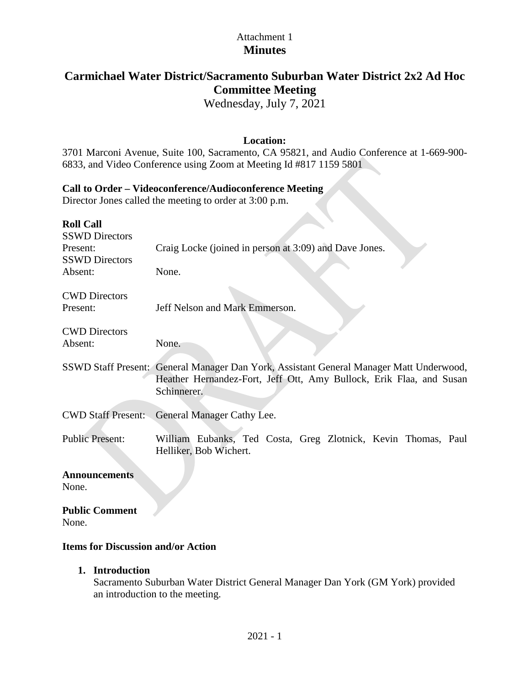# Attachment 1 **Minutes**

# **Carmichael Water District/Sacramento Suburban Water District 2x2 Ad Hoc Committee Meeting**

Wednesday, July 7, 2021

# **Location:**

3701 Marconi Avenue, Suite 100, Sacramento, CA 95821, and Audio Conference at 1-669-900- 6833, and Video Conference using Zoom at Meeting Id #817 1159 5801

 $\mathcal{L}_{\mathcal{A}}$ 

# **Call to Order – Videoconference/Audioconference Meeting**

Director Jones called the meeting to order at 3:00 p.m.

| <b>Roll Call</b><br><b>SSWD Directors</b> |                                                                                         |
|-------------------------------------------|-----------------------------------------------------------------------------------------|
| Present:                                  | Craig Locke (joined in person at 3:09) and Dave Jones.                                  |
| <b>SSWD Directors</b>                     |                                                                                         |
| Absent:                                   | None.                                                                                   |
| <b>CWD Directors</b>                      |                                                                                         |
| Present:                                  | Jeff Nelson and Mark Emmerson.                                                          |
|                                           |                                                                                         |
| <b>CWD</b> Directors                      |                                                                                         |
| Absent:                                   | None.                                                                                   |
|                                           |                                                                                         |
|                                           | SSWD Staff Present: General Manager Dan York, Assistant General Manager Matt Underwood, |
|                                           | Heather Hernandez-Fort, Jeff Ott, Amy Bullock, Erik Flaa, and Susan                     |
|                                           | Schinnerer.                                                                             |
| <b>CWD Staff Present:</b>                 | General Manager Cathy Lee.                                                              |
|                                           |                                                                                         |
| <b>Public Present:</b>                    | William Eubanks, Ted Costa, Greg Zlotnick, Kevin Thomas, Paul                           |
|                                           | Helliker, Bob Wichert.                                                                  |
|                                           |                                                                                         |
| <b>Announcements</b>                      |                                                                                         |
| None.                                     |                                                                                         |
|                                           |                                                                                         |
| <b>Public Comment</b><br>None.            |                                                                                         |
|                                           |                                                                                         |

# **Items for Discussion and/or Action**

**1. Introduction**

Sacramento Suburban Water District General Manager Dan York (GM York) provided an introduction to the meeting.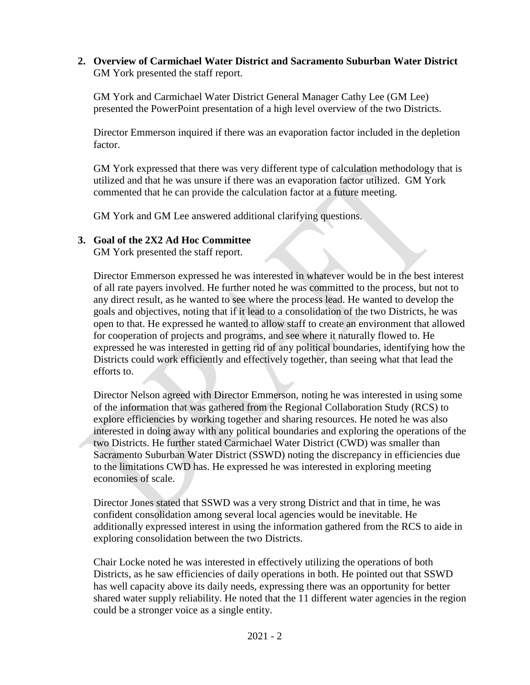**2. Overview of Carmichael Water District and Sacramento Suburban Water District** GM York presented the staff report.

GM York and Carmichael Water District General Manager Cathy Lee (GM Lee) presented the PowerPoint presentation of a high level overview of the two Districts.

Director Emmerson inquired if there was an evaporation factor included in the depletion factor.

GM York expressed that there was very different type of calculation methodology that is utilized and that he was unsure if there was an evaporation factor utilized. GM York commented that he can provide the calculation factor at a future meeting.

GM York and GM Lee answered additional clarifying questions.

# **3. Goal of the 2X2 Ad Hoc Committee**

GM York presented the staff report.

Director Emmerson expressed he was interested in whatever would be in the best interest of all rate payers involved. He further noted he was committed to the process, but not to any direct result, as he wanted to see where the process lead. He wanted to develop the goals and objectives, noting that if it lead to a consolidation of the two Districts, he was open to that. He expressed he wanted to allow staff to create an environment that allowed for cooperation of projects and programs, and see where it naturally flowed to. He expressed he was interested in getting rid of any political boundaries, identifying how the Districts could work efficiently and effectively together, than seeing what that lead the efforts to.

Director Nelson agreed with Director Emmerson, noting he was interested in using some of the information that was gathered from the Regional Collaboration Study (RCS) to explore efficiencies by working together and sharing resources. He noted he was also interested in doing away with any political boundaries and exploring the operations of the two Districts. He further stated Carmichael Water District (CWD) was smaller than Sacramento Suburban Water District (SSWD) noting the discrepancy in efficiencies due to the limitations CWD has. He expressed he was interested in exploring meeting economies of scale.

Director Jones stated that SSWD was a very strong District and that in time, he was confident consolidation among several local agencies would be inevitable. He additionally expressed interest in using the information gathered from the RCS to aide in exploring consolidation between the two Districts.

Chair Locke noted he was interested in effectively utilizing the operations of both Districts, as he saw efficiencies of daily operations in both. He pointed out that SSWD has well capacity above its daily needs, expressing there was an opportunity for better shared water supply reliability. He noted that the 11 different water agencies in the region could be a stronger voice as a single entity.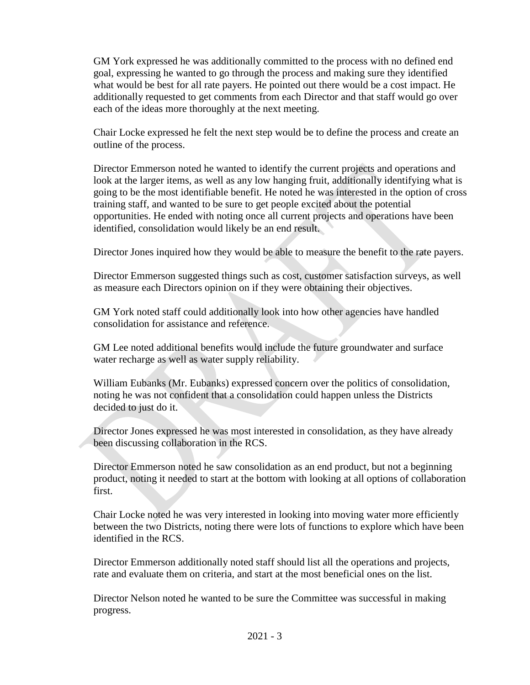GM York expressed he was additionally committed to the process with no defined end goal, expressing he wanted to go through the process and making sure they identified what would be best for all rate payers. He pointed out there would be a cost impact. He additionally requested to get comments from each Director and that staff would go over each of the ideas more thoroughly at the next meeting.

Chair Locke expressed he felt the next step would be to define the process and create an outline of the process.

Director Emmerson noted he wanted to identify the current projects and operations and look at the larger items, as well as any low hanging fruit, additionally identifying what is going to be the most identifiable benefit. He noted he was interested in the option of cross training staff, and wanted to be sure to get people excited about the potential opportunities. He ended with noting once all current projects and operations have been identified, consolidation would likely be an end result.

Director Jones inquired how they would be able to measure the benefit to the rate payers.

Director Emmerson suggested things such as cost, customer satisfaction surveys, as well as measure each Directors opinion on if they were obtaining their objectives.

GM York noted staff could additionally look into how other agencies have handled consolidation for assistance and reference.

GM Lee noted additional benefits would include the future groundwater and surface water recharge as well as water supply reliability.

William Eubanks (Mr. Eubanks) expressed concern over the politics of consolidation, noting he was not confident that a consolidation could happen unless the Districts decided to just do it.

Director Jones expressed he was most interested in consolidation, as they have already been discussing collaboration in the RCS.

Director Emmerson noted he saw consolidation as an end product, but not a beginning product, noting it needed to start at the bottom with looking at all options of collaboration first.

Chair Locke noted he was very interested in looking into moving water more efficiently between the two Districts, noting there were lots of functions to explore which have been identified in the RCS.

Director Emmerson additionally noted staff should list all the operations and projects, rate and evaluate them on criteria, and start at the most beneficial ones on the list.

Director Nelson noted he wanted to be sure the Committee was successful in making progress.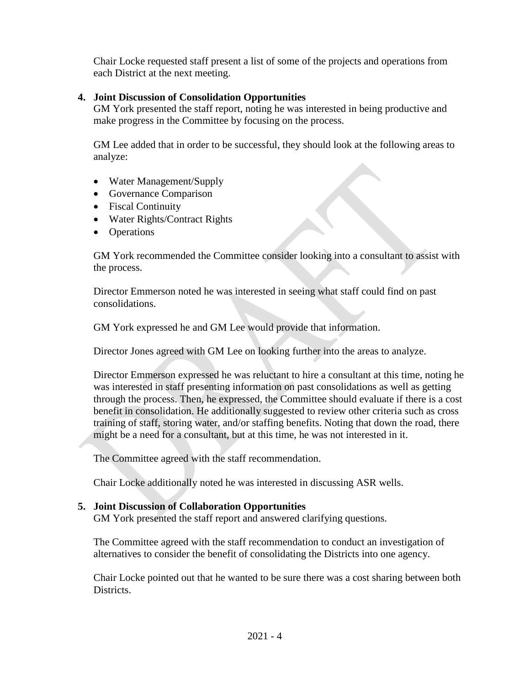Chair Locke requested staff present a list of some of the projects and operations from each District at the next meeting.

# **4. Joint Discussion of Consolidation Opportunities**

GM York presented the staff report, noting he was interested in being productive and make progress in the Committee by focusing on the process.

GM Lee added that in order to be successful, they should look at the following areas to analyze:

- Water Management/Supply
- Governance Comparison
- Fiscal Continuity
- Water Rights/Contract Rights
- Operations

GM York recommended the Committee consider looking into a consultant to assist with the process.

Director Emmerson noted he was interested in seeing what staff could find on past consolidations.

GM York expressed he and GM Lee would provide that information.

Director Jones agreed with GM Lee on looking further into the areas to analyze.

Director Emmerson expressed he was reluctant to hire a consultant at this time, noting he was interested in staff presenting information on past consolidations as well as getting through the process. Then, he expressed, the Committee should evaluate if there is a cost benefit in consolidation. He additionally suggested to review other criteria such as cross training of staff, storing water, and/or staffing benefits. Noting that down the road, there might be a need for a consultant, but at this time, he was not interested in it.

The Committee agreed with the staff recommendation.

Chair Locke additionally noted he was interested in discussing ASR wells.

# **5. Joint Discussion of Collaboration Opportunities**

GM York presented the staff report and answered clarifying questions.

The Committee agreed with the staff recommendation to conduct an investigation of alternatives to consider the benefit of consolidating the Districts into one agency.

Chair Locke pointed out that he wanted to be sure there was a cost sharing between both Districts.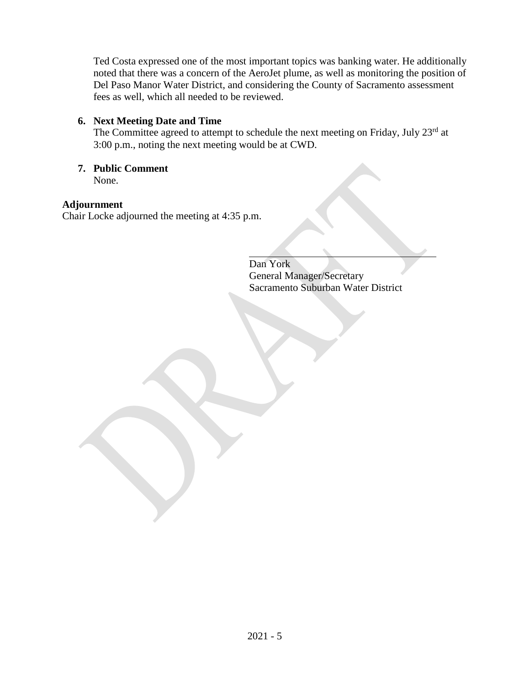Ted Costa expressed one of the most important topics was banking water. He additionally noted that there was a concern of the AeroJet plume, as well as monitoring the position of Del Paso Manor Water District, and considering the County of Sacramento assessment fees as well, which all needed to be reviewed.

# **6. Next Meeting Date and Time**

The Committee agreed to attempt to schedule the next meeting on Friday, July 23rd at 3:00 p.m., noting the next meeting would be at CWD.

#### **7. Public Comment** None.

**Adjournment**

Chair Locke adjourned the meeting at 4:35 p.m.

Dan York General Manager/Secretary Sacramento Suburban Water District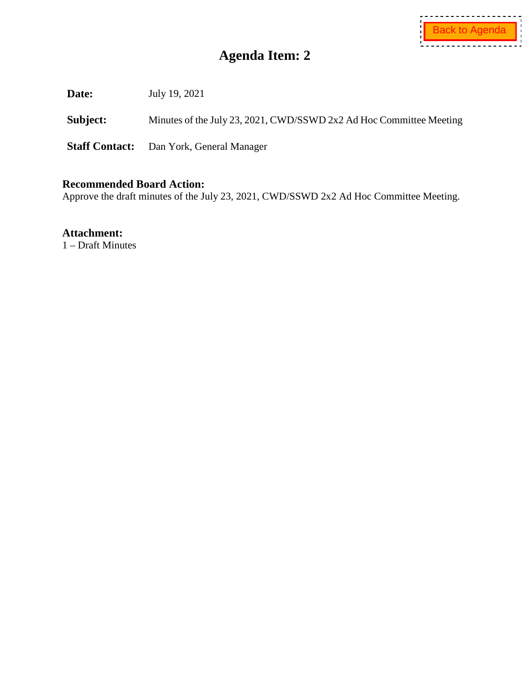<span id="page-9-0"></span>**Date:** July 19, 2021

Subject: Minutes of the July 23, 2021, CWD/SSWD 2x2 Ad Hoc Committee Meeting

**Staff Contact:** Dan York, General Manager

## **Recommended Board Action:**

Approve the draft minutes of the July 23, 2021, CWD/SSWD 2x2 Ad Hoc Committee Meeting.

**Attachment:**

1 – Draft Minutes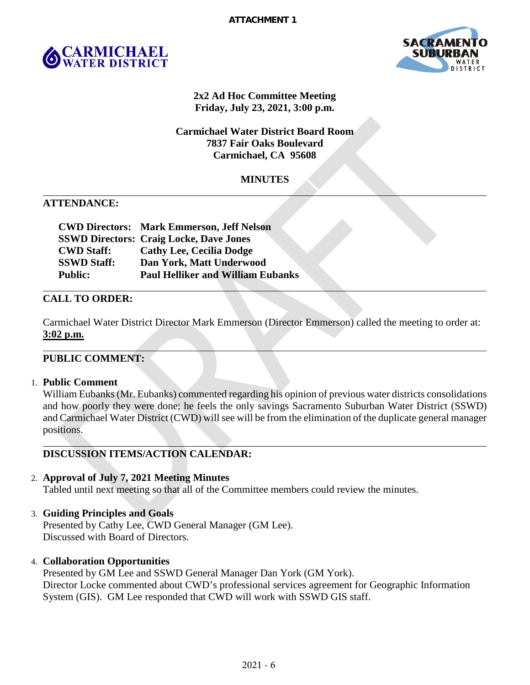



## **2x2 Ad Hoc Committee Meeting Friday, July 23, 2021, 3:00 p.m.**

# **Carmichael Water District Board Room 7837 Fair Oaks Boulevard Carmichael, CA 95608**

# **MINUTES**

## **ATTENDANCE:**

|                    | <b>CWD Directors: Mark Emmerson, Jeff Nelson</b> |
|--------------------|--------------------------------------------------|
|                    | <b>SSWD Directors: Craig Locke, Dave Jones</b>   |
| <b>CWD Staff:</b>  | <b>Cathy Lee, Cecilia Dodge</b>                  |
| <b>SSWD Staff:</b> | Dan York, Matt Underwood                         |
| <b>Public:</b>     | <b>Paul Helliker and William Eubanks</b>         |

## **CALL TO ORDER:**

Carmichael Water District Director Mark Emmerson (Director Emmerson) called the meeting to order at: **3:02 p.m.**

#### **PUBLIC COMMENT:**

#### 1. **Public Comment**

William Eubanks (Mr. Eubanks) commented regarding his opinion of previous water districts consolidations and how poorly they were done; he feels the only savings Sacramento Suburban Water District (SSWD) and Carmichael Water District (CWD) will see will be from the elimination of the duplicate general manager positions.

# **DISCUSSION ITEMS/ACTION CALENDAR:**

# 2. **Approval of July 7, 2021 Meeting Minutes**

Tabled until next meeting so that all of the Committee members could review the minutes.

# 3. **Guiding Principles and Goals**

Presented by Cathy Lee, CWD General Manager (GM Lee). Discussed with Board of Directors.

#### 4. **Collaboration Opportunities**

Presented by GM Lee and SSWD General Manager Dan York (GM York). Director Locke commented about CWD's professional services agreement for Geographic Information System (GIS). GM Lee responded that CWD will work with SSWD GIS staff.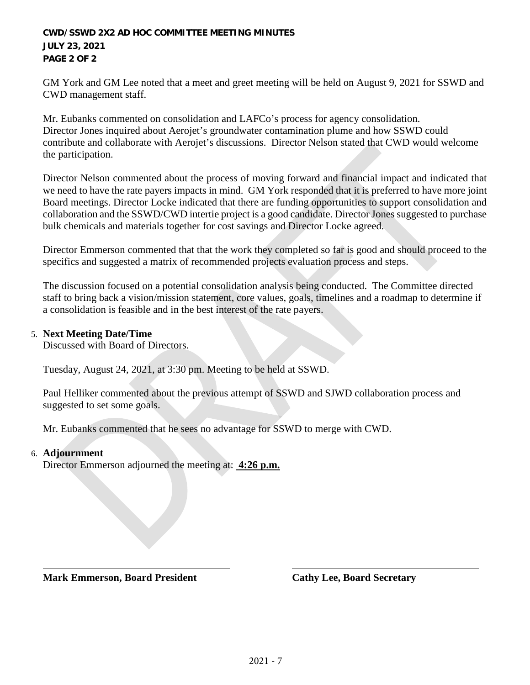#### **CWD/SSWD 2X2 AD HOC COMMITTEE MEETING MINUTES JULY 23, 2021 PAGE 2 OF 2**

GM York and GM Lee noted that a meet and greet meeting will be held on August 9, 2021 for SSWD and CWD management staff.

Mr. Eubanks commented on consolidation and LAFCo's process for agency consolidation. Director Jones inquired about Aerojet's groundwater contamination plume and how SSWD could contribute and collaborate with Aerojet's discussions. Director Nelson stated that CWD would welcome the participation.

Director Nelson commented about the process of moving forward and financial impact and indicated that we need to have the rate payers impacts in mind. GM York responded that it is preferred to have more joint Board meetings. Director Locke indicated that there are funding opportunities to support consolidation and collaboration and the SSWD/CWD intertie project is a good candidate. Director Jones suggested to purchase bulk chemicals and materials together for cost savings and Director Locke agreed.

Director Emmerson commented that that the work they completed so far is good and should proceed to the specifics and suggested a matrix of recommended projects evaluation process and steps.

The discussion focused on a potential consolidation analysis being conducted. The Committee directed staff to bring back a vision/mission statement, core values, goals, timelines and a roadmap to determine if a consolidation is feasible and in the best interest of the rate payers.

## 5. **Next Meeting Date/Time**

Discussed with Board of Directors.

Tuesday, August 24, 2021, at 3:30 pm. Meeting to be held at SSWD.

Paul Helliker commented about the previous attempt of SSWD and SJWD collaboration process and suggested to set some goals.

Mr. Eubanks commented that he sees no advantage for SSWD to merge with CWD.

#### 6. **Adjournment**

Director Emmerson adjourned the meeting at: **4:26 p.m.**

**Mark Emmerson, Board President Cathy Lee, Board Secretary**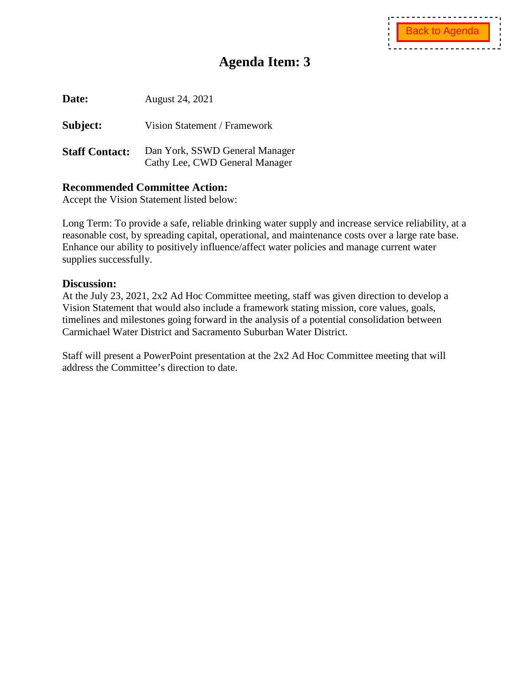<span id="page-12-0"></span>**Date:** August 24, 2021

**Subject:** Vision Statement / Framework

**Staff Contact:** Dan York, SSWD General Manager Cathy Lee, CWD General Manager

# **Recommended Committee Action:**

Accept the Vision Statement listed below:

Long Term: To provide a safe, reliable drinking water supply and increase service reliability, at a reasonable cost, by spreading capital, operational, and maintenance costs over a large rate base. Enhance our ability to positively influence/affect water policies and manage current water supplies successfully.

## **Discussion:**

At the July 23, 2021, 2x2 Ad Hoc Committee meeting, staff was given direction to develop a Vision Statement that would also include a framework stating mission, core values, goals, timelines and milestones going forward in the analysis of a potential consolidation between Carmichael Water District and Sacramento Suburban Water District.

Staff will present a PowerPoint presentation at the 2x2 Ad Hoc Committee meeting that will address the Committee's direction to date.